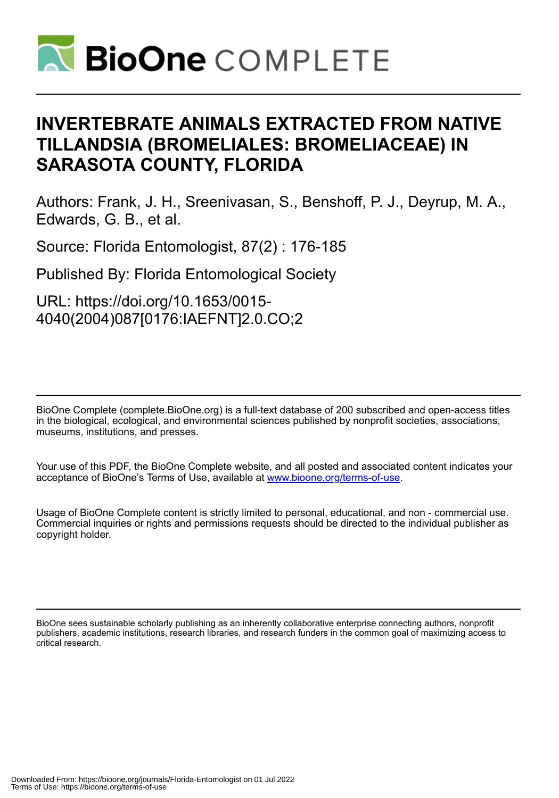

# **INVERTEBRATE ANIMALS EXTRACTED FROM NATIVE TILLANDSIA (BROMELIALES: BROMELIACEAE) IN SARASOTA COUNTY, FLORIDA**

Authors: Frank, J. H., Sreenivasan, S., Benshoff, P. J., Deyrup, M. A., Edwards, G. B., et al.

Source: Florida Entomologist, 87(2) : 176-185

Published By: Florida Entomological Society

URL: https://doi.org/10.1653/0015- 4040(2004)087[0176:IAEFNT]2.0.CO;2

BioOne Complete (complete.BioOne.org) is a full-text database of 200 subscribed and open-access titles in the biological, ecological, and environmental sciences published by nonprofit societies, associations, museums, institutions, and presses.

Your use of this PDF, the BioOne Complete website, and all posted and associated content indicates your acceptance of BioOne's Terms of Use, available at www.bioone.org/terms-of-use.

Usage of BioOne Complete content is strictly limited to personal, educational, and non - commercial use. Commercial inquiries or rights and permissions requests should be directed to the individual publisher as copyright holder.

BioOne sees sustainable scholarly publishing as an inherently collaborative enterprise connecting authors, nonprofit publishers, academic institutions, research libraries, and research funders in the common goal of maximizing access to critical research.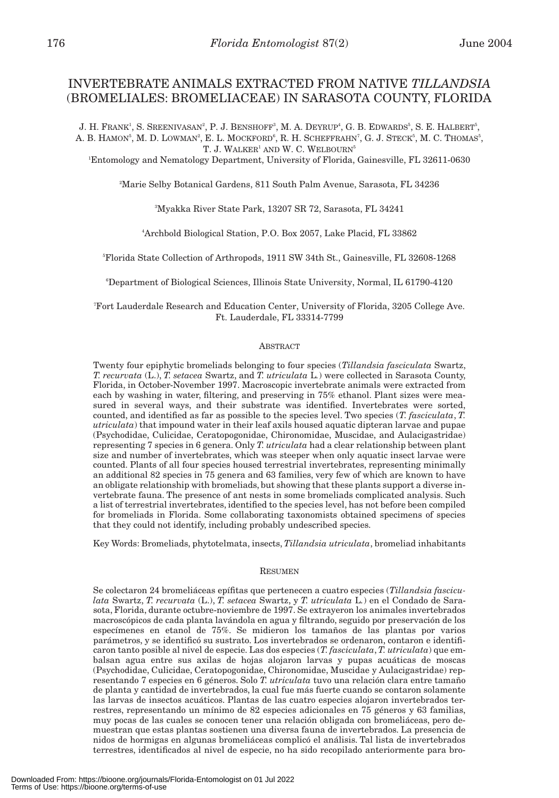# INVERTEBRATE ANIMALS EXTRACTED FROM NATIVE *TILLANDSIA* (BROMELIALES: BROMELIACEAE) IN SARASOTA COUNTY, FLORIDA

J. H. Frank<sup>1</sup>, S. Sreenivasan<sup>2</sup>, P. J. Benshoff<sup>3</sup>, M. A. Deyrup<sup>4</sup>, G. B. Edwards<sup>5</sup>, S. E. Halbert<sup>5</sup>, A. B. HAMON<sup>5</sup>, M. D. LOWMAN<sup>2</sup>, E. L. MOCKFORD<sup>6</sup>, R. H. SCHEFFRAHN<sup>7</sup>, G. J. STECK<sup>5</sup>, M. C. THOMAS<sup>5</sup>, T. J. WALKER<sup>1</sup> AND W. C. WELBOURN<sup>5</sup>

1 Entomology and Nematology Department, University of Florida, Gainesville, FL 32611-0630

2 Marie Selby Botanical Gardens, 811 South Palm Avenue, Sarasota, FL 34236

3 Myakka River State Park, 13207 SR 72, Sarasota, FL 34241

4 Archbold Biological Station, P.O. Box 2057, Lake Placid, FL 33862

5 Florida State Collection of Arthropods, 1911 SW 34th St., Gainesville, FL 32608-1268

6 Department of Biological Sciences, Illinois State University, Normal, IL 61790-4120

7 Fort Lauderdale Research and Education Center, University of Florida, 3205 College Ave. Ft. Lauderdale, FL 33314-7799

#### **ABSTRACT**

Twenty four epiphytic bromeliads belonging to four species (*Tillandsia fasciculata* Swartz, *T. recurvata* (L.), *T. setacea* Swartz, and *T. utriculata* L*.*) were collected in Sarasota County, Florida, in October-November 1997. Macroscopic invertebrate animals were extracted from each by washing in water, filtering, and preserving in 75% ethanol. Plant sizes were measured in several ways, and their substrate was identified. Invertebrates were sorted, counted, and identified as far as possible to the species level. Two species (*T. fasciculata*, *T. utriculata*) that impound water in their leaf axils housed aquatic dipteran larvae and pupae (Psychodidae, Culicidae, Ceratopogonidae, Chironomidae, Muscidae, and Aulacigastridae) representing 7 species in 6 genera. Only *T. utriculata* had a clear relationship between plant size and number of invertebrates, which was steeper when only aquatic insect larvae were counted. Plants of all four species housed terrestrial invertebrates, representing minimally an additional 82 species in 75 genera and 63 families, very few of which are known to have an obligate relationship with bromeliads, but showing that these plants support a diverse invertebrate fauna. The presence of ant nests in some bromeliads complicated analysis. Such a list of terrestrial invertebrates, identified to the species level, has not before been compiled for bromeliads in Florida. Some collaborating taxonomists obtained specimens of species that they could not identify, including probably undescribed species.

Key Words: Bromeliads, phytotelmata, insects, *Tillandsia utriculata*, bromeliad inhabitants

#### RESUMEN

Se colectaron 24 bromeliáceas epífitas que pertenecen a cuatro especies (*Tillandsia fasciculata* Swartz, *T. recurvata* (L.), *T. setacea* Swartz, y *T. utriculata* L*.*) en el Condado de Sarasota, Florida, durante octubre-noviembre de 1997. Se extrayeron los animales invertebrados macroscópicos de cada planta lavándola en agua y filtrando, seguido por preservación de los especímenes en etanol de 75%. Se midieron los tamaños de las plantas por varios parámetros, y se identificó su sustrato. Los invertebrados se ordenaron, contaron e identificaron tanto posible al nivel de especie. Las dos especies (*T. fasciculata*, *T. utriculata*) que embalsan agua entre sus axilas de hojas alojaron larvas y pupas acuáticas de moscas (Psychodidae, Culicidae, Ceratopogonidae, Chironomidae, Muscidae y Aulacigastridae) representando 7 especies en 6 géneros. Solo *T. utriculata* tuvo una relación clara entre tamaño de planta y cantidad de invertebrados, la cual fue más fuerte cuando se contaron solamente las larvas de insectos acuáticos. Plantas de las cuatro especies alojaron invertebrados terrestres, representando un mínimo de 82 especies adicionales en 75 géneros y 63 familias, muy pocas de las cuales se conocen tener una relación obligada con bromeliáceas, pero demuestran que estas plantas sostienen una diversa fauna de invertebrados. La presencia de nidos de hormigas en algunas bromeliáceas complicó el análisis. Tal lista de invertebrados terrestres, identificados al nivel de especie, no ha sido recopilado anteriormente para bro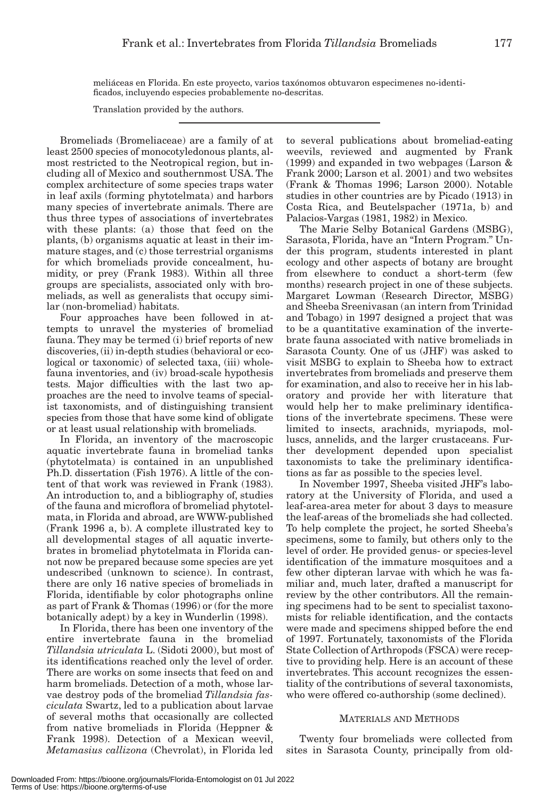meliáceas en Florida. En este proyecto, varios taxónomos obtuvaron especimenes no-identificados, incluyendo especies probablemente no-descritas.

Translation provided by the authors.

Bromeliads (Bromeliaceae) are a family of at least 2500 species of monocotyledonous plants, almost restricted to the Neotropical region, but including all of Mexico and southernmost USA. The complex architecture of some species traps water in leaf axils (forming phytotelmata) and harbors many species of invertebrate animals. There are thus three types of associations of invertebrates with these plants: (a) those that feed on the plants, (b) organisms aquatic at least in their immature stages, and (c) those terrestrial organisms for which bromeliads provide concealment, humidity, or prey (Frank 1983). Within all three groups are specialists, associated only with bromeliads, as well as generalists that occupy similar (non-bromeliad) habitats.

Four approaches have been followed in attempts to unravel the mysteries of bromeliad fauna. They may be termed (i) brief reports of new discoveries, (ii) in-depth studies (behavioral or ecological or taxonomic) of selected taxa, (iii) wholefauna inventories, and (iv) broad-scale hypothesis tests. Major difficulties with the last two approaches are the need to involve teams of specialist taxonomists, and of distinguishing transient species from those that have some kind of obligate or at least usual relationship with bromeliads.

In Florida, an inventory of the macroscopic aquatic invertebrate fauna in bromeliad tanks (phytotelmata) is contained in an unpublished Ph.D. dissertation (Fish 1976). A little of the content of that work was reviewed in Frank (1983). An introduction to, and a bibliography of, studies of the fauna and microflora of bromeliad phytotelmata, in Florida and abroad, are WWW-published (Frank 1996 a, b). A complete illustrated key to all developmental stages of all aquatic invertebrates in bromeliad phytotelmata in Florida cannot now be prepared because some species are yet undescribed (unknown to science). In contrast, there are only 16 native species of bromeliads in Florida, identifiable by color photographs online as part of Frank & Thomas (1996) or (for the more botanically adept) by a key in Wunderlin (1998).

In Florida, there has been one inventory of the entire invertebrate fauna in the bromeliad *Tillandsia utriculata* L. (Sidoti 2000), but most of its identifications reached only the level of order. There are works on some insects that feed on and harm bromeliads. Detection of a moth, whose larvae destroy pods of the bromeliad *Tillandsia fasciculata* Swartz, led to a publication about larvae of several moths that occasionally are collected from native bromeliads in Florida (Heppner & Frank 1998). Detection of a Mexican weevil, *Metamasius callizona* (Chevrolat), in Florida led

to several publications about bromeliad-eating weevils, reviewed and augmented by Frank (1999) and expanded in two webpages (Larson & Frank 2000; Larson et al. 2001) and two websites (Frank & Thomas 1996; Larson 2000). Notable studies in other countries are by Picado (1913) in Costa Rica, and Beutelspacher (1971a, b) and Palacios-Vargas (1981, 1982) in Mexico.

The Marie Selby Botanical Gardens (MSBG), Sarasota, Florida, have an "Intern Program." Under this program, students interested in plant ecology and other aspects of botany are brought from elsewhere to conduct a short-term (few months) research project in one of these subjects. Margaret Lowman (Research Director, MSBG) and Sheeba Sreenivasan (an intern from Trinidad and Tobago) in 1997 designed a project that was to be a quantitative examination of the invertebrate fauna associated with native bromeliads in Sarasota County. One of us (JHF) was asked to visit MSBG to explain to Sheeba how to extract invertebrates from bromeliads and preserve them for examination, and also to receive her in his laboratory and provide her with literature that would help her to make preliminary identifications of the invertebrate specimens. These were limited to insects, arachnids, myriapods, molluscs, annelids, and the larger crustaceans. Further development depended upon specialist taxonomists to take the preliminary identifications as far as possible to the species level.

In November 1997, Sheeba visited JHF's laboratory at the University of Florida, and used a leaf-area-area meter for about 3 days to measure the leaf-areas of the bromeliads she had collected. To help complete the project, he sorted Sheeba's specimens, some to family, but others only to the level of order. He provided genus- or species-level identification of the immature mosquitoes and a few other dipteran larvae with which he was familiar and, much later, drafted a manuscript for review by the other contributors. All the remaining specimens had to be sent to specialist taxonomists for reliable identification, and the contacts were made and specimens shipped before the end of 1997. Fortunately, taxonomists of the Florida State Collection of Arthropods (FSCA) were receptive to providing help. Here is an account of these invertebrates. This account recognizes the essentiality of the contributions of several taxonomists, who were offered co-authorship (some declined).

# MATERIALS AND METHODS

Twenty four bromeliads were collected from sites in Sarasota County, principally from old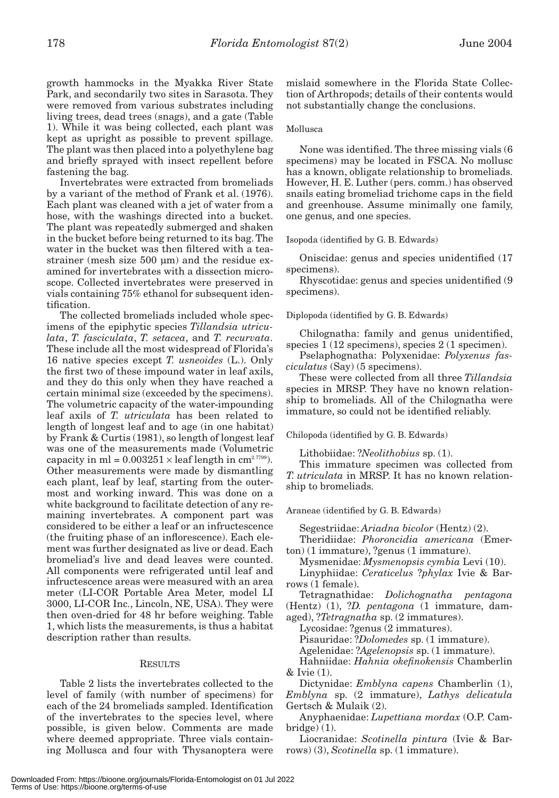growth hammocks in the Myakka River State Park, and secondarily two sites in Sarasota. They were removed from various substrates including living trees, dead trees (snags), and a gate (Table 1). While it was being collected, each plant was kept as upright as possible to prevent spillage. The plant was then placed into a polyethylene bag and briefly sprayed with insect repellent before fastening the bag.

Invertebrates were extracted from bromeliads by a variant of the method of Frank et al. (1976). Each plant was cleaned with a jet of water from a hose, with the washings directed into a bucket. The plant was repeatedly submerged and shaken in the bucket before being returned to its bag. The water in the bucket was then filtered with a teastrainer (mesh size 500 µm) and the residue examined for invertebrates with a dissection microscope. Collected invertebrates were preserved in vials containing 75% ethanol for subsequent identification.

The collected bromeliads included whole specimens of the epiphytic species *Tillandsia utriculata*, *T. fasciculata*, *T. setacea*, and *T. recurvata*. These include all the most widespread of Florida's 16 native species except *T. usneoides* (L.). Only the first two of these impound water in leaf axils, and they do this only when they have reached a certain minimal size (exceeded by the specimens). The volumetric capacity of the water-impounding leaf axils of *T. utriculata* has been related to length of longest leaf and to age (in one habitat) by Frank & Curtis (1981), so length of longest leaf was one of the measurements made (Volumetric capacity in ml =  $0.003251 \times$  leaf length in cm<sup>2.7799</sup>). Other measurements were made by dismantling each plant, leaf by leaf, starting from the outermost and working inward. This was done on a white background to facilitate detection of any remaining invertebrates. A component part was considered to be either a leaf or an infructescence (the fruiting phase of an inflorescence). Each element was further designated as live or dead. Each bromeliad's live and dead leaves were counted. All components were refrigerated until leaf and infructescence areas were measured with an area meter (LI-COR Portable Area Meter, model LI 3000, LI-COR Inc., Lincoln, NE, USA). They were then oven-dried for 48 hr before weighing. Table 1, which lists the measurements, is thus a habitat description rather than results.

#### RESULTS

Table 2 lists the invertebrates collected to the level of family (with number of specimens) for each of the 24 bromeliads sampled. Identification of the invertebrates to the species level, where possible, is given below. Comments are made where deemed appropriate. Three vials containing Mollusca and four with Thysanoptera were mislaid somewhere in the Florida State Collection of Arthropods; details of their contents would not substantially change the conclusions.

## Mollusca

None was identified. The three missing vials (6 specimens) may be located in FSCA. No mollusc has a known, obligate relationship to bromeliads. However, H. E. Luther (pers. comm.) has observed snails eating bromeliad trichome caps in the field and greenhouse. Assume minimally one family, one genus, and one species.

Isopoda (identified by G. B. Edwards)

Oniscidae: genus and species unidentified (17 specimens).

Rhyscotidae: genus and species unidentified (9 specimens).

## Diplopoda (identified by G. B. Edwards)

Chilognatha: family and genus unidentified, species 1 (12 specimens), species 2 (1 specimen).

Pselaphognatha: Polyxenidae: *Polyxenus fasciculatus* (Say) (5 specimens).

These were collected from all three *Tillandsia* species in MRSP. They have no known relationship to bromeliads. All of the Chilognatha were immature, so could not be identified reliably.

Chilopoda (identified by G. B. Edwards)

Lithobiidae: ?*Neolithobius* sp. (1).

This immature specimen was collected from *T. utriculata* in MRSP. It has no known relationship to bromeliads.

Araneae (identified by G. B. Edwards)

Segestriidae: *Ariadna bicolor* (Hentz) (2).

Theridiidae: *Phoroncidia americana* (Emerton) (1 immature), ?genus (1 immature).

Mysmenidae: *Mysmenopsis cymbia* Levi (10). Linyphiidae: *Ceraticelus* ?*phylax* Ivie & Barrows (1 female).

Tetragnathidae: *Dolichognatha pentagona* (Hentz) (1), ?*D. pentagona* (1 immature, damaged), ?*Tetragnatha* sp. (2 immatures).

Lycosidae: ?genus (2 immatures).

Pisauridae: ?*Dolomedes* sp. (1 immature).

Agelenidae: ?*Agelenopsis* sp. (1 immature).

Hahniidae: *Hahnia okefinokensis* Chamberlin & Ivie (1).

Dictynidae: *Emblyna capens* Chamberlin (1), *Emblyna* sp. (2 immature), *Lathys delicatula* Gertsch & Mulaik (2).

Anyphaenidae: *Lupettiana mordax* (O.P. Cam $bridge)$  (1).

Liocranidae: *Scotinella pintura* (Ivie & Barrows) (3), *Scotinella* sp. (1 immature).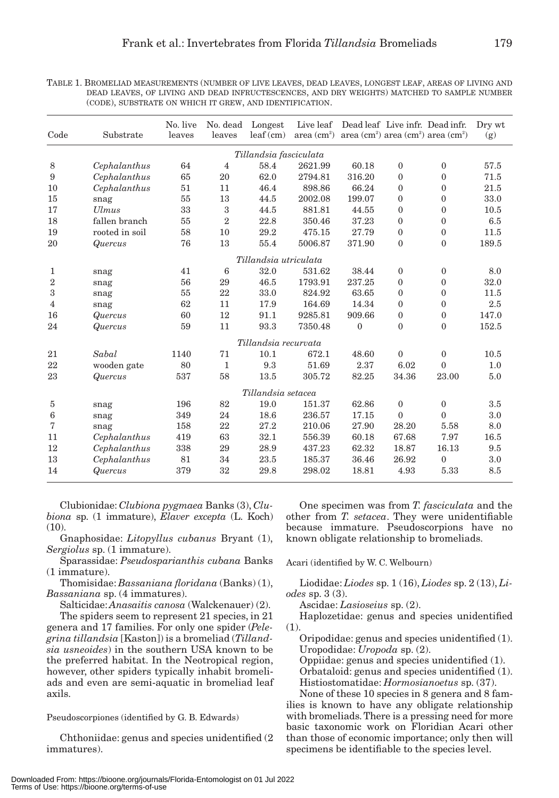TABLE 1. BROMELIAD MEASUREMENTS (NUMBER OF LIVE LEAVES, DEAD LEAVES, LONGEST LEAF, AREAS OF LIVING AND DEAD LEAVES, OF LIVING AND DEAD INFRUCTESCENCES, AND DRY WEIGHTS) MATCHED TO SAMPLE NUMBER (CODE), SUBSTRATE ON WHICH IT GREW, AND IDENTIFICATION.

| Code                   | Substrate      | No. live<br>leaves | No. dead<br>leaves | Longest<br>$leaf$ (cm) | Live leaf<br>area (cm <sup>2</sup> ) |              |                | Dead leaf Live infr. Dead infr.<br>area (cm <sup>2</sup> ) area (cm <sup>2</sup> ) area (cm <sup>2</sup> ) | Dry wt<br>(g) |  |
|------------------------|----------------|--------------------|--------------------|------------------------|--------------------------------------|--------------|----------------|------------------------------------------------------------------------------------------------------------|---------------|--|
| Tillandsia fasciculata |                |                    |                    |                        |                                      |              |                |                                                                                                            |               |  |
| 8                      | Cephalanthus   | 64                 | $\overline{4}$     | 58.4                   | 2621.99                              | 60.18        | $\mathbf{0}$   | $\mathbf{0}$                                                                                               | 57.5          |  |
| 9                      | Cephalanthus   | 65                 | 20                 | 62.0                   | 2794.81                              | 316.20       | $\theta$       | $\mathbf{0}$                                                                                               | 71.5          |  |
| 10                     | Cephalanthus   | 51                 | 11                 | 46.4                   | 898.86                               | 66.24        | $\Omega$       | $\mathbf{0}$                                                                                               | 21.5          |  |
| 15                     | snag           | 55                 | 13                 | 44.5                   | 2002.08                              | 199.07       | $\theta$       | $\mathbf{0}$                                                                                               | 33.0          |  |
| 17                     | Ulmus          | 33                 | 3                  | 44.5                   | 881.81                               | 44.55        | $\Omega$       | $\boldsymbol{0}$                                                                                           | 10.5          |  |
| 18                     | fallen branch  | 55                 | $\overline{2}$     | 22.8                   | 350.46                               | 37.23        | $\theta$       | $\mathbf{0}$                                                                                               | 6.5           |  |
| 19                     | rooted in soil | 58                 | 10                 | 29.2                   | 475.15                               | 27.79        | $\mathbf{0}$   | $\boldsymbol{0}$                                                                                           | 11.5          |  |
| 20                     | Quercus        | 76                 | 13                 | 55.4                   | 5006.87                              | 371.90       | $\mathbf{0}$   | $\mathbf{0}$                                                                                               | 189.5         |  |
| Tillandsia utriculata  |                |                    |                    |                        |                                      |              |                |                                                                                                            |               |  |
| 1                      | snag           | 41                 | $6\phantom{1}6$    | 32.0                   | 531.62                               | 38.44        | $\mathbf{0}$   | $\boldsymbol{0}$                                                                                           | 8.0           |  |
| $\overline{2}$         | snag           | 56                 | 29                 | 46.5                   | 1793.91                              | 237.25       | $\mathbf{0}$   | $\mathbf{0}$                                                                                               | 32.0          |  |
| 3                      | snag           | 55                 | 22                 | 33.0                   | 824.92                               | 63.65        | $\Omega$       | $\boldsymbol{0}$                                                                                           | 11.5          |  |
| 4                      | snag           | 62                 | 11                 | 17.9                   | 164.69                               | 14.34        | $\Omega$       | $\mathbf{0}$                                                                                               | 2.5           |  |
| 16                     | Quercus        | 60                 | 12                 | 91.1                   | 9285.81                              | 909.66       | $\overline{0}$ | $\mathbf{0}$                                                                                               | 147.0         |  |
| 24                     | Quercus        | 59                 | 11                 | 93.3                   | 7350.48                              | $\mathbf{0}$ | $\Omega$       | $\mathbf{0}$                                                                                               | 152.5         |  |
|                        |                |                    |                    | Tillandsia recurvata   |                                      |              |                |                                                                                                            |               |  |
| 21                     | Sabal          | 1140               | 71                 | 10.1                   | 672.1                                | 48.60        | $\Omega$       | $\mathbf{0}$                                                                                               | 10.5          |  |
| 22                     | wooden gate    | 80                 | $\mathbf{1}$       | 9.3                    | 51.69                                | 2.37         | 6.02           | $\mathbf{0}$                                                                                               | 1.0           |  |
| 23                     | Quercus        | 537                | 58                 | 13.5                   | 305.72                               | 82.25        | 34.36          | 23.00                                                                                                      | 5.0           |  |
|                        |                |                    |                    | Tillandsia setacea     |                                      |              |                |                                                                                                            |               |  |
| 5                      | snag           | 196                | 82                 | 19.0                   | 151.37                               | 62.86        | $\mathbf{0}$   | $\mathbf{0}$                                                                                               | 3.5           |  |
| 6                      | snag           | 349                | 24                 | 18.6                   | 236.57                               | 17.15        | $\theta$       | $\theta$                                                                                                   | 3.0           |  |
| 7                      | snag           | 158                | 22                 | 27.2                   | 210.06                               | 27.90        | 28.20          | 5.58                                                                                                       | 8.0           |  |
| 11                     | Cephalanthus   | 419                | 63                 | 32.1                   | 556.39                               | 60.18        | 67.68          | 7.97                                                                                                       | 16.5          |  |
| 12                     | Cephalanthus   | 338                | 29                 | 28.9                   | 437.23                               | 62.32        | 18.87          | 16.13                                                                                                      | 9.5           |  |
| 13                     | Cephalanthus   | 81                 | 34                 | 23.5                   | 185.37                               | 36.46        | 26.92          | $\overline{0}$                                                                                             | 3.0           |  |
| 14                     | Quercus        | 379                | 32                 | 29.8                   | 298.02                               | 18.81        | 4.93           | 5.33                                                                                                       | 8.5           |  |

Clubionidae: *Clubiona pygmaea* Banks (3), *Clubiona* sp. (1 immature), *Elaver excepta* (L. Koch)  $(10).$ 

Gnaphosidae: *Litopyllus cubanus* Bryant (1), *Sergiolus* sp. (1 immature).

Sparassidae: *Pseudosparianthis cubana* Banks (1 immature).

Thomisidae: *Bassaniana floridana* (Banks) (1), *Bassaniana* sp. (4 immatures).

Salticidae: *Anasaitis canosa* (Walckenauer) (2).

The spiders seem to represent 21 species, in 21 genera and 17 families. For only one spider (*Pelegrina tillandsia* [Kaston]) is a bromeliad (*Tillandsia usneoides*) in the southern USA known to be the preferred habitat. In the Neotropical region, however, other spiders typically inhabit bromeliads and even are semi-aquatic in bromeliad leaf axils.

Pseudoscorpiones (identified by G. B. Edwards)

Chthoniidae: genus and species unidentified (2 immatures).

One specimen was from *T. fasciculata* and the other from *T. setacea*. They were unidentifiable because immature. Pseudoscorpions have no known obligate relationship to bromeliads.

Acari (identified by W. C. Welbourn)

Liodidae: *Liodes* sp. 1 (16), *Liodes* sp. 2 (13), *Liodes* sp. 3 (3).

Ascidae: *Lasioseius* sp. (2).

Haplozetidae: genus and species unidentified (1).

Oripodidae: genus and species unidentified (1). Uropodidae: *Uropoda* sp. (2).

Oppiidae: genus and species unidentified (1).

Orbataloid: genus and species unidentified (1). Histiostomatidae: *Hormosianoetus* sp. (37).

None of these 10 species in 8 genera and 8 families is known to have any obligate relationship with bromeliads. There is a pressing need for more basic taxonomic work on Floridian Acari other than those of economic importance; only then will specimens be identifiable to the species level.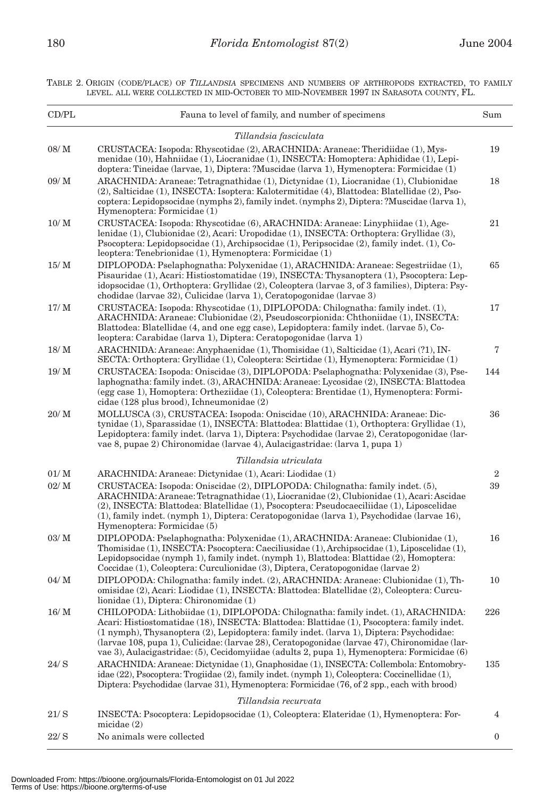TABLE 2. ORIGIN (CODE/PLACE) OF *TILLANDSIA* SPECIMENS AND NUMBERS OF ARTHROPODS EXTRACTED, TO FAMILY LEVEL. ALL WERE COLLECTED IN MID-OCTOBER TO MID-NOVEMBER 1997 IN SARASOTA COUNTY, FL.

| CD/PL | Fauna to level of family, and number of specimens                                                                                                                                                                                                                                                                                                                                                                                                                           | $\operatorname{Sum}$ |
|-------|-----------------------------------------------------------------------------------------------------------------------------------------------------------------------------------------------------------------------------------------------------------------------------------------------------------------------------------------------------------------------------------------------------------------------------------------------------------------------------|----------------------|
|       |                                                                                                                                                                                                                                                                                                                                                                                                                                                                             |                      |
| 08/M  | Tillandsia fasciculata<br>CRUSTACEA: Isopoda: Rhyscotidae (2), ARACHNIDA: Araneae: Theridiidae (1), Mys-<br>menidae (10), Hahniidae (1), Liocranidae (1), INSECTA: Homoptera: Aphididae (1), Lepi-<br>doptera: Tineidae (larvae, 1), Diptera: ?Muscidae (larva 1), Hymenoptera: Formicidae (1)                                                                                                                                                                              | 19                   |
| 09/M  | ARACHNIDA: Araneae: Tetragnathidae (1), Dictynidae (1), Liocranidae (1), Clubionidae<br>(2), Salticidae (1), INSECTA: Isoptera: Kalotermitidae (4), Blattodea: Blatellidae (2), Pso-<br>coptera: Lepidopsocidae (nymphs 2), family indet. (nymphs 2), Diptera: ?Muscidae (larva 1),<br>Hymenoptera: Formicidae (1)                                                                                                                                                          | 18                   |
| 10/M  | CRUSTACEA: Isopoda: Rhyscotidae (6), ARACHNIDA: Araneae: Linyphiidae (1), Age-<br>lenidae (1), Clubionidae (2), Acari: Uropodidae (1), INSECTA: Orthoptera: Gryllidae (3),<br>Psocoptera: Lepidopsocidae (1), Archipsocidae (1), Peripsocidae (2), family indet. (1), Co-<br>leoptera: Tenebrionidae (1), Hymenoptera: Formicidae (1)                                                                                                                                       | 21                   |
| 15/M  | DIPLOPODA: Pselaphognatha: Polyxenidae (1), ARACHNIDA: Araneae: Segestriidae (1),<br>Pisauridae (1), Acari: Histiostomatidae (19), INSECTA: Thysanoptera (1), Psocoptera: Lep-<br>idopsocidae (1), Orthoptera: Gryllidae (2), Coleoptera (larvae 3, of 3 families), Diptera: Psy-<br>chodidae (larvae 32), Culicidae (larva 1), Ceratopogonidae (larvae 3)                                                                                                                  | 65                   |
| 17/M  | CRUSTACEA: Isopoda: Rhyscotidae (1), DIPLOPODA: Chilognatha: family indet. (1),<br>ARACHNIDA: Araneae: Clubionidae (2), Pseudoscorpionida: Chthoniidae (1), INSECTA:<br>Blattodea: Blatellidae (4, and one egg case), Lepidoptera: family indet. (larvae 5), Co-<br>leoptera: Carabidae (larva 1), Diptera: Ceratopogonidae (larva 1)                                                                                                                                       | 17                   |
| 18/M  | ARACHNIDA: Araneae: Anyphaenidae (1), Thomisidae (1), Salticidae (1), Acari (?1), IN-<br>SECTA: Orthoptera: Gryllidae (1), Coleoptera: Scirtidae (1), Hymenoptera: Formicidae (1)                                                                                                                                                                                                                                                                                           | 7                    |
| 19/M  | CRUSTACEA: Isopoda: Oniscidae (3), DIPLOPODA: Pselaphognatha: Polyxenidae (3), Pse-<br>laphognatha: family indet. (3), ARACHNIDA: Araneae: Lycosidae (2), INSECTA: Blattodea<br>(egg case 1), Homoptera: Ortheziidae (1), Coleoptera: Brentidae (1), Hymenoptera: Formi-<br>cidae (128 plus brood), Ichneumonidae (2)                                                                                                                                                       | 144                  |
| 20/M  | MOLLUSCA (3), CRUSTACEA: Isopoda: Oniscidae (10), ARACHNIDA: Araneae: Dic-<br>tynidae (1), Sparassidae (1), INSECTA: Blattodea: Blattidae (1), Orthoptera: Gryllidae (1),<br>Lepidoptera: family indet. (larva 1), Diptera: Psychodidae (larvae 2), Ceratopogonidae (lar-<br>vae 8, pupae 2) Chironomidae (larvae 4), Aulacigastridae: (larva 1, pupa 1)                                                                                                                    | 36                   |
|       | Tillandsia utriculata                                                                                                                                                                                                                                                                                                                                                                                                                                                       |                      |
| 01/M  | ARACHNIDA: Araneae: Dictynidae (1), Acari: Liodidae (1)                                                                                                                                                                                                                                                                                                                                                                                                                     | 2                    |
| 02/M  | CRUSTACEA: Isopoda: Oniscidae (2), DIPLOPODA: Chilognatha: family indet. (5),<br>ARACHNIDA: Araneae: Tetragnathidae (1), Liocranidae (2), Clubionidae (1), Acari: Ascidae<br>(2), INSECTA: Blattodea: Blatellidae (1), Psocoptera: Pseudocaeciliidae (1), Liposcelidae<br>(1), family indet. (nymph 1), Diptera: Ceratopogonidae (larva 1), Psychodidae (larvae 16),<br>Hymenoptera: Formicidae (5)                                                                         | 39                   |
| 03/M  | DIPLOPODA: Pselaphognatha: Polyxenidae (1), ARACHNIDA: Araneae: Clubionidae (1),<br>Thomisidae (1), INSECTA: Psocoptera: Caeciliusidae (1), Archipsocidae (1), Liposcelidae (1),<br>Lepidopsocidae (nymph 1), family indet. (nymph 1), Blattodea: Blattidae (2), Homoptera:<br>Coccidae (1), Coleoptera: Curculionidae (3), Diptera, Ceratopogonidae (larvae 2)                                                                                                             | 16                   |
| 04/M  | DIPLOPODA: Chilognatha: family indet. (2), ARACHNIDA: Araneae: Clubionidae (1), Th-<br>omisidae (2), Acari: Liodidae (1), INSECTA: Blattodea: Blatellidae (2), Coleoptera: Curcu-<br>lionidae (1), Diptera: Chironomidae (1)                                                                                                                                                                                                                                                | 10                   |
| 16/M  | CHILOPODA: Lithobiidae (1), DIPLOPODA: Chilognatha: family indet. (1), ARACHNIDA:<br>Acari: Histiostomatidae (18), INSECTA: Blattodea: Blattidae (1), Psocoptera: family indet.<br>(1 nymph), Thysanoptera (2), Lepidoptera: family indet. (larva 1), Diptera: Psychodidae:<br>(larvae 108, pupa 1), Culicidae: (larvae 28), Ceratopogonidae (larvae 47), Chironomidae (lar-<br>vae 3), Aulacigastridae: (5), Cecidomyiidae (adults 2, pupa 1), Hymenoptera: Formicidae (6) | 226                  |
| 24/S  | ARACHNIDA: Araneae: Dictynidae (1), Gnaphosidae (1), INSECTA: Collembola: Entomobry-<br>idae (22), Psocoptera: Trogiidae (2), family indet. (nymph 1), Coleoptera: Coccinellidae (1),<br>Diptera: Psychodidae (larvae 31), Hymenoptera: Formicidae (76, of 2 spp., each with brood)                                                                                                                                                                                         | 135                  |
|       | Tillandsia recurvata                                                                                                                                                                                                                                                                                                                                                                                                                                                        |                      |
| 21/S  | INSECTA: Psocoptera: Lepidopsocidae (1), Coleoptera: Elateridae (1), Hymenoptera: For-<br>micidae $(2)$                                                                                                                                                                                                                                                                                                                                                                     | 4                    |
| 22/S  | No animals were collected                                                                                                                                                                                                                                                                                                                                                                                                                                                   | 0                    |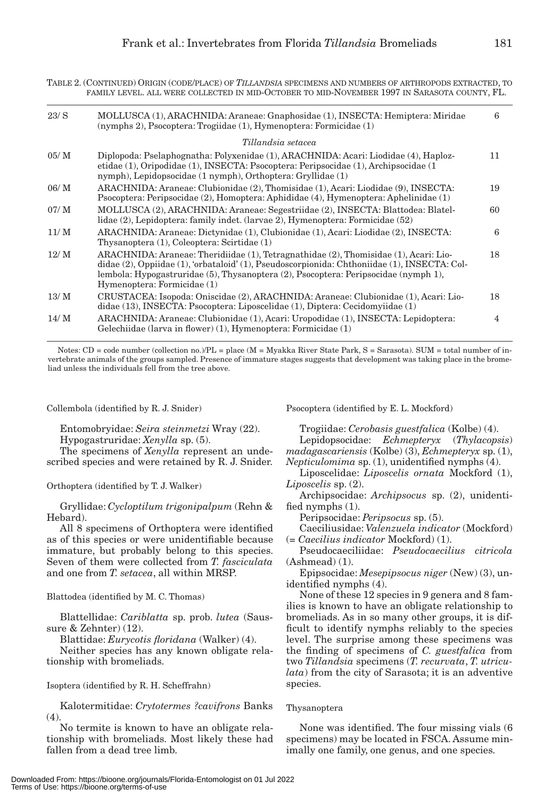| TABLE 2. (CONTINUED) ORIGIN (CODE/PLACE) OF TILLANDSIA SPECIMENS AND NUMBERS OF ARTHROPODS EXTRACTED, TO |
|----------------------------------------------------------------------------------------------------------|
| FAMILY LEVEL. ALL WERE COLLECTED IN MID-OCTOBER TO MID-NOVEMBER 1997 IN SARASOTA COUNTY, FL.             |

| 23/S | MOLLUSCA (1), ARACHNIDA: Araneae: Gnaphosidae (1), INSECTA: Hemiptera: Miridae<br>(nymphs 2), Psocoptera: Trogiidae (1), Hymenoptera: Formicidae (1)                                                                                                                                                       | 6  |
|------|------------------------------------------------------------------------------------------------------------------------------------------------------------------------------------------------------------------------------------------------------------------------------------------------------------|----|
|      | Tillandsia setacea                                                                                                                                                                                                                                                                                         |    |
| 05/M | Diplopoda: Pselaphognatha: Polyxenidae (1), ARACHNIDA: Acari: Liodidae (4), Haploz-<br>etidae (1), Oripodidae (1), INSECTA: Psocoptera: Peripsocidae (1), Archipsocidae (1)<br>nymph), Lepidopsocidae (1 nymph), Orthoptera: Gryllidae (1)                                                                 | 11 |
| 06/M | ARACHNIDA: Araneae: Clubionidae (2), Thomisidae (1), Acari: Liodidae (9), INSECTA:<br>Psocoptera: Peripsocidae (2), Homoptera: Aphididae (4), Hymenoptera: Aphelinidae (1)                                                                                                                                 | 19 |
| 07/M | MOLLUSCA (2), ARACHNIDA: Araneae: Segestriidae (2), INSECTA: Blattodea: Blatel-<br>lidae (2), Lepidoptera: family indet. (larvae 2), Hymenoptera: Formicidae (52)                                                                                                                                          | 60 |
| 11/M | ARACHNIDA: Araneae: Dictynidae (1), Clubionidae (1), Acari: Liodidae (2), INSECTA:<br>Thysanoptera (1), Coleoptera: Scirtidae (1)                                                                                                                                                                          | 6  |
| 12/M | ARACHNIDA: Araneae: Theridiidae (1), Tetragnathidae (2), Thomisidae (1), Acari: Lio-<br>didae (2), Oppiidae (1), 'orbataloid' (1), Pseudoscorpionida: Chthoniidae (1), INSECTA: Col-<br>lembola: Hypogastruridae (5), Thysanoptera (2), Psocoptera: Peripsocidae (nymph 1),<br>Hymenoptera: Formicidae (1) | 18 |
| 13/M | CRUSTACEA: Isopoda: Oniscidae (2), ARACHNIDA: Araneae: Clubionidae (1), Acari: Lio-<br>didae (13), INSECTA: Psocoptera: Liposcelidae (1), Diptera: Cecidomyiidae (1)                                                                                                                                       | 18 |
| 14/M | ARACHNIDA: Araneae: Clubionidae (1), Acari: Uropodidae (1), INSECTA: Lepidoptera:<br>Gelechiidae (larva in flower) (1), Hymenoptera: Formicidae (1)                                                                                                                                                        | 4  |

Notes: CD = code number (collection no.)/PL = place (M = Myakka River State Park, S = Sarasota). SUM = total number of invertebrate animals of the groups sampled. Presence of immature stages suggests that development was taking place in the bromeliad unless the individuals fell from the tree above.

Collembola (identified by R. J. Snider)

Entomobryidae: *Seira steinmetzi* Wray (22). Hypogastruridae: *Xenylla* sp. (5).

The specimens of *Xenylla* represent an undescribed species and were retained by R. J. Snider.

Orthoptera (identified by T. J. Walker)

Gryllidae: *Cycloptilum trigonipalpum* (Rehn & Hebard).

All 8 specimens of Orthoptera were identified as of this species or were unidentifiable because immature, but probably belong to this species. Seven of them were collected from *T. fasciculata* and one from *T. setacea*, all within MRSP.

Blattodea (identified by M. C. Thomas)

Blattellidae: *Cariblatta* sp. prob. *lutea* (Saussure & Zehnter) (12).

Blattidae: *Eurycotis floridana* (Walker) (4).

Neither species has any known obligate relationship with bromeliads.

Isoptera (identified by R. H. Scheffrahn)

Kalotermitidae: *Crytotermes ?cavifrons* Banks  $(4)$ .

No termite is known to have an obligate relationship with bromeliads. Most likely these had fallen from a dead tree limb.

Psocoptera (identified by E. L. Mockford)

Trogiidae: *Cerobasis guestfalica* (Kolbe) (4).

Lepidopsocidae: *Echmepteryx* (*Thylacopsis*) *madagascariensis* (Kolbe) (3), *Echmepteryx* sp. (1), *Nepticulomima* sp. (1), unidentified nymphs (4).

Liposcelidae: *Liposcelis ornata* Mockford (1), *Liposcelis* sp. (2).

Archipsocidae: *Archipsocus* sp. (2), unidentified nymphs (1).

Peripsocidae: *Peripsocus* sp. (5).

Caeciliusidae: *Valenzuela indicator* (Mockford) (= *Caecilius indicator* Mockford) (1).

Pseudocaeciliidae: *Pseudocaecilius citricola* (Ashmead) (1).

Epipsocidae: *Mesepipsocus niger* (New) (3), unidentified nymphs (4).

None of these 12 species in 9 genera and 8 families is known to have an obligate relationship to bromeliads. As in so many other groups, it is difficult to identify nymphs reliably to the species level. The surprise among these specimens was the finding of specimens of *C. guestfalica* from two *Tillandsia* specimens (*T. recurvata*, *T. utriculata*) from the city of Sarasota; it is an adventive species.

#### Thysanoptera

None was identified. The four missing vials (6 specimens) may be located in FSCA. Assume minimally one family, one genus, and one species.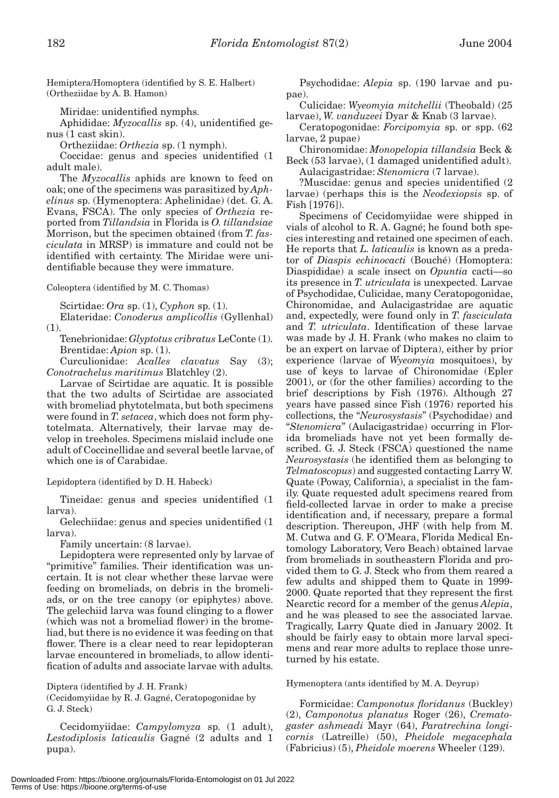Hemiptera/Homoptera (identified by S. E. Halbert) (Ortheziidae by A. B. Hamon)

Miridae: unidentified nymphs.

Aphididae: *Myzocallis* sp. (4), unidentified genus (1 cast skin).

Ortheziidae: *Orthezia* sp. (1 nymph).

Coccidae: genus and species unidentified (1 adult male).

The *Myzocallis* aphids are known to feed on oak; one of the specimens was parasitized by *Aphelinus* sp. (Hymenoptera: Aphelinidae) (det. G. A. Evans, FSCA). The only species of *Orthezia* reported from *Tillandsia* in Florida is *O. tillandsiae* Morrison, but the specimen obtained (from *T. fasciculata* in MRSP) is immature and could not be identified with certainty. The Miridae were unidentifiable because they were immature.

Coleoptera (identified by M. C. Thomas)

Scirtidae: *Ora* sp. (1), *Cyphon* sp. (1).

Elateridae: *Conoderus amplicollis* (Gyllenhal) (1).

Tenebrionidae: *Glyptotus cribratus* LeConte (1). Brentidae: *Apion* sp. (1).

Curculionidae: *Acalles clavatus* Say (3); *Conotrachelus maritimus* Blatchley (2).

Larvae of Scirtidae are aquatic. It is possible that the two adults of Scirtidae are associated with bromeliad phytotelmata, but both specimens were found in *T. setacea*, which does not form phytotelmata. Alternatively, their larvae may develop in treeholes. Specimens mislaid include one adult of Coccinellidae and several beetle larvae, of which one is of Carabidae.

Lepidoptera (identified by D. H. Habeck)

Tineidae: genus and species unidentified (1 larva).

Gelechiidae: genus and species unidentified (1 larva).

Family uncertain: (8 larvae).

Lepidoptera were represented only by larvae of "primitive" families. Their identification was uncertain. It is not clear whether these larvae were feeding on bromeliads, on debris in the bromeliads, or on the tree canopy (or epiphytes) above. The gelechiid larva was found clinging to a flower (which was not a bromeliad flower) in the bromeliad, but there is no evidence it was feeding on that flower. There is a clear need to rear lepidopteran larvae encountered in bromeliads, to allow identification of adults and associate larvae with adults.

Diptera (identified by J. H. Frank)

(Cecidomyiidae by R. J. Gagné, Ceratopogonidae by G. J. Steck)

Cecidomyiidae: *Campylomyza* sp. (1 adult), *Lestodiplosis laticaulis* Gagné (2 adults and 1 pupa).

Psychodidae: *Alepia* sp. (190 larvae and pupae).

Culicidae: *Wyeomyia mitchellii* (Theobald) (25 larvae), *W. vanduzeei* Dyar & Knab (3 larvae).

Ceratopogonidae: *Forcipomyia* sp. or spp. (62 larvae, 2 pupae)

Chironomidae: *Monopelopia tillandsia* Beck & Beck (53 larvae), (1 damaged unidentified adult).

Aulacigastridae: *Stenomicra* (7 larvae). ?Muscidae: genus and species unidentified (2

larvae) (perhaps this is the *Neodexiopsis* sp. of Fish [1976]).

Specimens of Cecidomyiidae were shipped in vials of alcohol to R. A. Gagné; he found both species interesting and retained one specimen of each. He reports that *L. laticaulis* is known as a predator of *Diaspis echinocacti* (Bouché) (Homoptera: Diaspididae) a scale insect on *Opuntia* cacti—so its presence in *T. utriculata* is unexpected. Larvae of Psychodidae, Culicidae, many Ceratopogonidae, Chironomidae, and Aulacigastridae are aquatic and, expectedly, were found only in *T. fasciculata* and *T. utriculata*. Identification of these larvae was made by J. H. Frank (who makes no claim to be an expert on larvae of Diptera), either by prior experience (larvae of *Wyeomyia* mosquitoes), by use of keys to larvae of Chironomidae (Epler 2001), or (for the other families) according to the brief descriptions by Fish (1976). Although 27 years have passed since Fish (1976) reported his collections, the "*Neurosystasis*" (Psychodidae) and "*Stenomicra*" (Aulacigastridae) occurring in Florida bromeliads have not yet been formally described. G. J. Steck (FSCA) questioned the name *Neurosystasis* (he identified them as belonging to *Telmatoscopus*) and suggested contacting Larry W. Quate (Poway, California), a specialist in the family. Quate requested adult specimens reared from field-collected larvae in order to make a precise identification and, if necessary, prepare a formal description. Thereupon, JHF (with help from M. M. Cutwa and G. F. O'Meara, Florida Medical Entomology Laboratory, Vero Beach) obtained larvae from bromeliads in southeastern Florida and provided them to G. J. Steck who from them reared a few adults and shipped them to Quate in 1999- 2000. Quate reported that they represent the first Nearctic record for a member of the genus *Alepia*, and he was pleased to see the associated larvae. Tragically, Larry Quate died in January 2002. It should be fairly easy to obtain more larval specimens and rear more adults to replace those unreturned by his estate.

Hymenoptera (ants identified by M. A. Deyrup)

Formicidae: *Camponotus floridanus* (Buckley) (2), *Camponotus planatus* Roger (26), *Crematogaster ashmeadi* Mayr (64), *Paratrechina longicornis* (Latreille) (50), *Pheidole megacephala* (Fabricius) (5), *Pheidole moerens* Wheeler (129).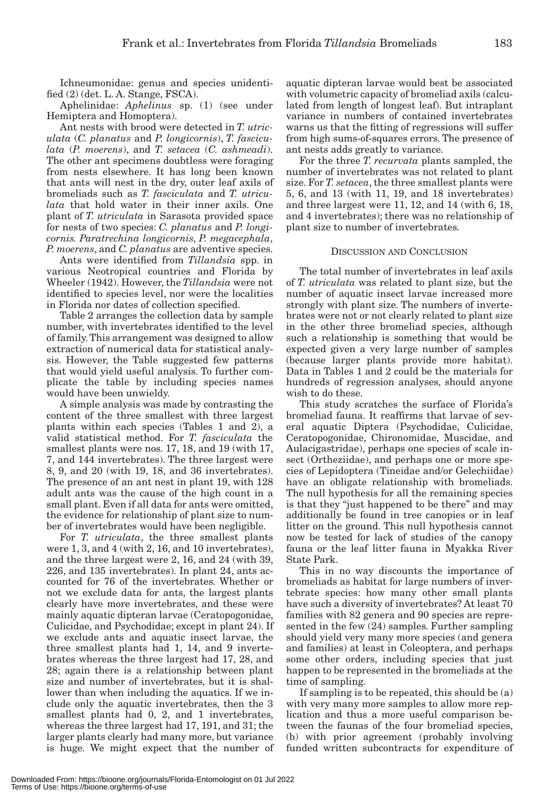Ichneumonidae: genus and species unidentified  $(2)$  (det. L. A. Stange, FSCA).

Aphelinidae: *Aphelinus* sp. (1) (see under Hemiptera and Homoptera).

Ant nests with brood were detected in *T. utriculata* (*C. planatus* and *P. longicornis*), *T. fasciculata* (*P. moerens*), and *T. setacea* (*C. ashmeadi*). The other ant specimens doubtless were foraging from nests elsewhere. It has long been known that ants will nest in the dry, outer leaf axils of bromeliads such as *T. fasciculata* and *T. utriculata* that hold water in their inner axils. One plant of *T. utriculata* in Sarasota provided space for nests of two species: *C. planatus* and *P. longicornis. Paratrechina longicornis*, *P. megacephala*, *P. moerens*, and *C. planatus* are adventive species.

Ants were identified from *Tillandsia* spp. in various Neotropical countries and Florida by Wheeler (1942). However, the *Tillandsia* were not identified to species level, nor were the localities in Florida nor dates of collection specified.

Table 2 arranges the collection data by sample number, with invertebrates identified to the level of family. This arrangement was designed to allow extraction of numerical data for statistical analysis. However, the Table suggested few patterns that would yield useful analysis. To further complicate the table by including species names would have been unwieldy.

A simple analysis was made by contrasting the content of the three smallest with three largest plants within each species (Tables 1 and 2), a valid statistical method. For *T. fasciculata* the smallest plants were nos. 17, 18, and 19 (with 17, 7, and 144 invertebrates). The three largest were 8, 9, and 20 (with 19, 18, and 36 invertebrates). The presence of an ant nest in plant 19, with 128 adult ants was the cause of the high count in a small plant. Even if all data for ants were omitted, the evidence for relationship of plant size to number of invertebrates would have been negligible.

For *T. utriculata*, the three smallest plants were 1, 3, and 4 (with 2, 16, and 10 invertebrates), and the three largest were 2, 16, and 24 (with 39, 226, and 135 invertebrates). In plant 24, ants accounted for 76 of the invertebrates. Whether or not we exclude data for ants, the largest plants clearly have more invertebrates, and these were mainly aquatic dipteran larvae (Ceratopogonidae, Culicidae, and Psychodidae; except in plant 24). If we exclude ants and aquatic insect larvae, the three smallest plants had 1, 14, and 9 invertebrates whereas the three largest had 17, 28, and 28; again there is a relationship between plant size and number of invertebrates, but it is shallower than when including the aquatics. If we include only the aquatic invertebrates, then the 3 smallest plants had 0, 2, and 1 invertebrates, whereas the three largest had 17, 191, and 31; the larger plants clearly had many more, but variance is huge. We might expect that the number of aquatic dipteran larvae would best be associated with volumetric capacity of bromeliad axils (calculated from length of longest leaf). But intraplant variance in numbers of contained invertebrates warns us that the fitting of regressions will suffer from high sums-of-squares errors. The presence of ant nests adds greatly to variance.

For the three *T. recurvata* plants sampled, the number of invertebrates was not related to plant size. For *T. setacea*, the three smallest plants were 5, 6, and 13 (with 11, 19, and 18 invertebrates) and three largest were 11, 12, and 14 (with 6, 18, and 4 invertebrates); there was no relationship of plant size to number of invertebrates.

## DISCUSSION AND CONCLUSION

The total number of invertebrates in leaf axils of *T. utriculata* was related to plant size, but the number of aquatic insect larvae increased more strongly with plant size. The numbers of invertebrates were not or not clearly related to plant size in the other three bromeliad species, although such a relationship is something that would be expected given a very large number of samples (because larger plants provide more habitat). Data in Tables 1 and 2 could be the materials for hundreds of regression analyses, should anyone wish to do these.

This study scratches the surface of Florida's bromeliad fauna. It reaffirms that larvae of several aquatic Diptera (Psychodidae, Culicidae, Ceratopogonidae, Chironomidae, Muscidae, and Aulacigastridae), perhaps one species of scale insect (Ortheziidae), and perhaps one or more species of Lepidoptera (Tineidae and/or Gelechiidae) have an obligate relationship with bromeliads. The null hypothesis for all the remaining species is that they "just happened to be there" and may additionally be found in tree canopies or in leaf litter on the ground. This null hypothesis cannot now be tested for lack of studies of the canopy fauna or the leaf litter fauna in Myakka River State Park.

This in no way discounts the importance of bromeliads as habitat for large numbers of invertebrate species: how many other small plants have such a diversity of invertebrates? At least 70 families with 82 genera and 90 species are represented in the few (24) samples. Further sampling should yield very many more species (and genera and families) at least in Coleoptera, and perhaps some other orders, including species that just happen to be represented in the bromeliads at the time of sampling.

If sampling is to be repeated, this should be (a) with very many more samples to allow more replication and thus a more useful comparison between the faunas of the four bromeliad species, (b) with prior agreement (probably involving funded written subcontracts for expenditure of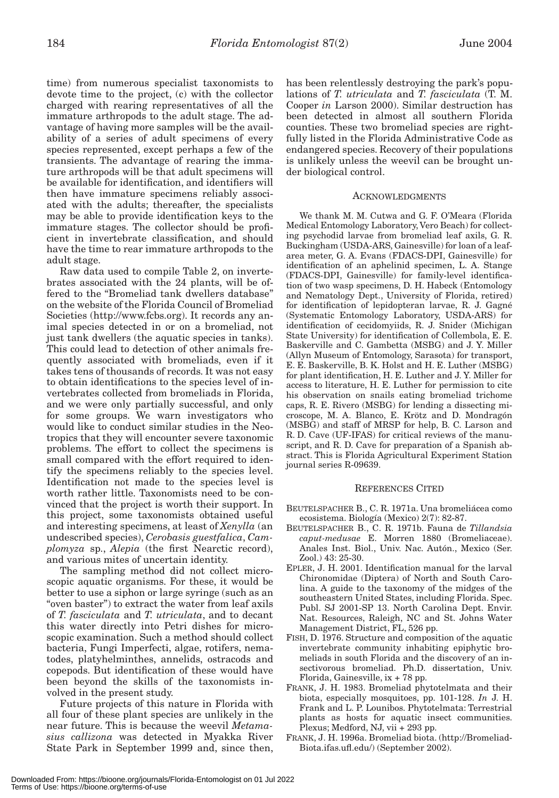time) from numerous specialist taxonomists to devote time to the project, (c) with the collector charged with rearing representatives of all the immature arthropods to the adult stage. The advantage of having more samples will be the availability of a series of adult specimens of every species represented, except perhaps a few of the transients. The advantage of rearing the immature arthropods will be that adult specimens will be available for identification, and identifiers will then have immature specimens reliably associated with the adults; thereafter, the specialists may be able to provide identification keys to the immature stages. The collector should be proficient in invertebrate classification, and should have the time to rear immature arthropods to the adult stage.

Raw data used to compile Table 2, on invertebrates associated with the 24 plants, will be offered to the "Bromeliad tank dwellers database" on the website of the Florida Council of Bromeliad Societies (http://www.fcbs.org). It records any animal species detected in or on a bromeliad, not just tank dwellers (the aquatic species in tanks). This could lead to detection of other animals frequently associated with bromeliads, even if it takes tens of thousands of records. It was not easy to obtain identifications to the species level of invertebrates collected from bromeliads in Florida, and we were only partially successful, and only for some groups. We warn investigators who would like to conduct similar studies in the Neotropics that they will encounter severe taxonomic problems. The effort to collect the specimens is small compared with the effort required to identify the specimens reliably to the species level. Identification not made to the species level is worth rather little. Taxonomists need to be convinced that the project is worth their support. In this project, some taxonomists obtained useful and interesting specimens, at least of *Xenylla* (an undescribed species), *Cerobasis guestfalica*, *Camplomyza* sp., *Alepia* (the first Nearctic record), and various mites of uncertain identity.

The sampling method did not collect microscopic aquatic organisms. For these, it would be better to use a siphon or large syringe (such as an "oven baster") to extract the water from leaf axils of *T. fasciculata* and *T. utriculata*, and to decant this water directly into Petri dishes for microscopic examination. Such a method should collect bacteria, Fungi Imperfecti, algae, rotifers, nematodes, platyhelminthes, annelids, ostracods and copepods. But identification of these would have been beyond the skills of the taxonomists involved in the present study.

Future projects of this nature in Florida with all four of these plant species are unlikely in the near future. This is because the weevil *Metamasius callizona* was detected in Myakka River State Park in September 1999 and, since then,

has been relentlessly destroying the park's populations of *T. utriculata* and *T. fasciculata* (T. M. Cooper *in* Larson 2000). Similar destruction has been detected in almost all southern Florida counties. These two bromeliad species are rightfully listed in the Florida Administrative Code as endangered species. Recovery of their populations is unlikely unless the weevil can be brought under biological control.

#### ACKNOWLEDGMENTS

We thank M. M. Cutwa and G. F. O'Meara (Florida Medical Entomology Laboratory, Vero Beach) for collecting psychodid larvae from bromeliad leaf axils, G. R. Buckingham (USDA-ARS, Gainesville) for loan of a leafarea meter, G. A. Evans (FDACS-DPI, Gainesville) for identification of an aphelinid specimen, L. A. Stange (FDACS-DPI, Gainesville) for family-level identification of two wasp specimens, D. H. Habeck (Entomology and Nematology Dept., University of Florida, retired) for identification of lepidopteran larvae, R. J. Gagné (Systematic Entomology Laboratory, USDA-ARS) for identification of cecidomyiids, R. J. Snider (Michigan State University) for identification of Collembola, E. E. Baskerville and C. Gambetta (MSBG) and J. Y. Miller (Allyn Museum of Entomology, Sarasota) for transport, E. E. Baskerville, B. K. Holst and H. E. Luther (MSBG) for plant identification, H. E. Luther and J. Y. Miller for access to literature, H. E. Luther for permission to cite his observation on snails eating bromeliad trichome caps, R. E. Rivero (MSBG) for lending a dissecting microscope, M. A. Blanco, E. Krötz and D. Mondragón (MSBG) and staff of MRSP for help, B. C. Larson and R. D. Cave (UF-IFAS) for critical reviews of the manuscript, and R. D. Cave for preparation of a Spanish abstract. This is Florida Agricultural Experiment Station journal series R-09639.

#### REFERENCES CITED

- BEUTELSPACHER B., C. R. 1971a. Una bromeliácea como ecosistema. Biología (Mexico) 2(7): 82-87.
- BEUTELSPACHER B., C. R. 1971b. Fauna de *Tillandsia caput-medusae* E. Morren 1880 (Bromeliaceae). Anales Inst. Biol., Univ. Nac. Autón., Mexico (Ser. Zool.) 43: 25-30.
- EPLER, J. H. 2001. Identification manual for the larval Chironomidae (Diptera) of North and South Carolina. A guide to the taxonomy of the midges of the southeastern United States, including Florida. Spec. Publ. SJ 2001-SP 13. North Carolina Dept. Envir. Nat. Resources, Raleigh, NC and St. Johns Water Management District, FL, 526 pp.
- FISH, D. 1976. Structure and composition of the aquatic invertebrate community inhabiting epiphytic bromeliads in south Florida and the discovery of an insectivorous bromeliad. Ph.D. dissertation, Univ. Florida, Gainesville, ix + 78 pp.
- FRANK, J. H. 1983. Bromeliad phytotelmata and their biota, especially mosquitoes, pp. 101-128. *In* J. H. Frank and L. P. Lounibos. Phytotelmata: Terrestrial plants as hosts for aquatic insect communities. Plexus; Medford, NJ, vii + 293 pp.
- FRANK, J. H. 1996a. Bromeliad biota. (http://Bromeliad-Biota.ifas.ufl.edu/) (September 2002).